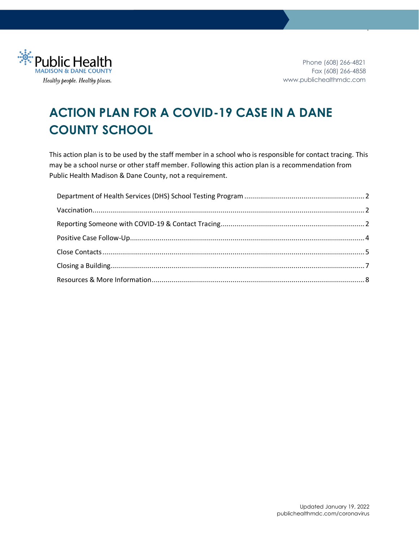

1

# **ACTION PLAN FOR A COVID-19 CASE IN A DANE COUNTY SCHOOL**

This action plan is to be used by the staff member in a school who is responsible for contact tracing. This may be a school nurse or other staff member. Following this action plan is a recommendation from Public Health Madison & Dane County, not a requirement.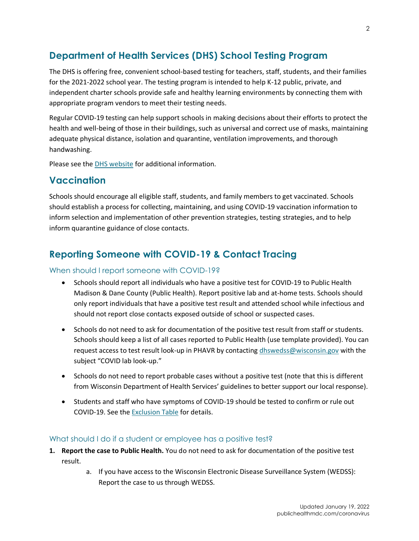# <span id="page-1-0"></span>**Department of Health Services (DHS) School Testing Program**

The DHS is offering free, convenient school-based testing for teachers, staff, students, and their families for the 2021-2022 school year. The testing program is intended to help K-12 public, private, and independent charter schools provide safe and healthy learning environments by connecting them with appropriate program vendors to meet their testing needs.

Regular COVID-19 testing can help support schools in making decisions about their efforts to protect the health and well-being of those in their buildings, such as universal and correct use of masks, maintaining adequate physical distance, isolation and quarantine, ventilation improvements, and thorough handwashing.

Please see th[e DHS website](https://www.dhs.wisconsin.gov/covid-19/testing-schools.htm) for additional information.

### <span id="page-1-1"></span>**Vaccination**

Schools should encourage all eligible staff, students, and family members to get vaccinated. Schools should establish a process for collecting, maintaining, and using COVID-19 vaccination information to inform selection and implementation of other prevention strategies, testing strategies, and to help inform quarantine guidance of close contacts.

## <span id="page-1-2"></span>**Reporting Someone with COVID-19 & Contact Tracing**

#### When should I report someone with COVID-19?

- Schools should report all individuals who have a positive test for COVID-19 to Public Health Madison & Dane County (Public Health). Report positive lab and at-home tests. Schools should only report individuals that have a positive test result and attended school while infectious and should not report close contacts exposed outside of school or suspected cases.
- Schools do not need to ask for documentation of the positive test result from staff or students. Schools should keep a list of all cases reported to Public Health [\(use template provided\)](https://publichealthmdc.com/documents/case_list.xlsx). You can request access to test result look-up in PHAVR by contacting [dhswedss@wisconsin.gov](mailto:dhswedss@wisconsin.gov) with the subject "COVID lab look-up."
- Schools do not need to report probable cases without a positive test (note that this is different from Wisconsin Department of Health Services' guidelines to better support our local response).
- Students and staff who have symptoms of COVID-19 should be tested to confirm or rule out COVID-19. See th[e Exclusion Table](https://publichealthmdc.com/documents/exclusion_table.pdf) for details.

#### <span id="page-1-3"></span>What should I do if a student or employee has a positive test?

- **1. Report the case to Public Health.** You do not need to ask for documentation of the positive test result.
	- a. If you have access to the Wisconsin Electronic Disease Surveillance System (WEDSS): Report the case to us through WEDSS.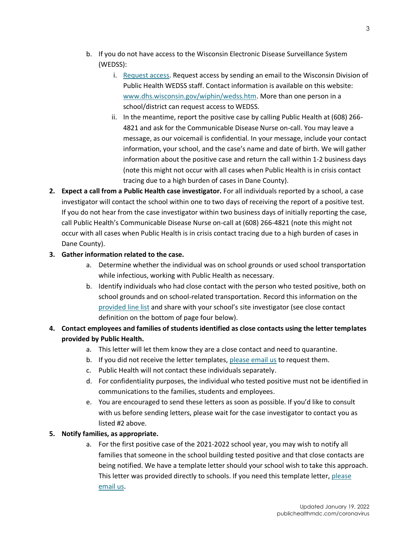- b. If you do not have access to the Wisconsin Electronic Disease Surveillance System (WEDSS):
	- i. [Request access.](https://www.dhs.wisconsin.gov/wiphin/wedss.htm) Request access by sending an email to the Wisconsin Division of Public Health WEDSS staff. Contact information is available on this website: [www.dhs.wisconsin.gov/wiphin/wedss.htm.](http://www.dhs.wisconsin.gov/wiphin/wedss.htm) More than one person in a school/district can request access to WEDSS.
	- ii. In the meantime, report the positive case by calling Public Health at (608) 266- 4821 and ask for the Communicable Disease Nurse on-call. You may leave a message, as our voicemail is confidential. In your message, include your contact information, your school, and the case's name and date of birth. We will gather information about the positive case and return the call within 1-2 business days (note this might not occur with all cases when Public Health is in crisis contact tracing due to a high burden of cases in Dane County).
- **2. Expect a call from a Public Health case investigator.** For all individuals reported by a school, a case investigator will contact the school within one to two days of receiving the report of a positive test. If you do not hear from the case investigator within two business days of initially reporting the case, call Public Health's Communicable Disease Nurse on-call at (608) 266-4821 (note this might not occur with all cases when Public Health is in crisis contact tracing due to a high burden of cases in Dane County).

#### **3. Gather information related to the case.**

- a. Determine whether the individual was on school grounds or used school transportation while infectious, working with Public Health as necessary.
- b. Identify individuals who had close contact with the person who tested positive, both on school grounds and on school-related transportation. Record this information on the [provided line list](https://publichealthmdc.com/documents/contact_line_list.xlsx) and share with your school's site investigator (see close contact definition on the bottom of page four below).
- **4. Contact employees and families of students identified as close contacts using the letter templates provided by Public Health.** 
	- a. This letter will let them know they are a close contact and need to quarantine.
	- b. If you did not receive the letter templates[, please email us](mailto:coronavirus@publichealthmdc.com) to request them.
	- c. Public Health will not contact these individuals separately.
	- d. For confidentiality purposes, the individual who tested positive must not be identified in communications to the families, students and employees.
	- e. You are encouraged to send these letters as soon as possible. If you'd like to consult with us before sending letters, please wait for the case investigator to contact you as listed #2 above.

#### **5. Notify families, as appropriate.**

a. For the first positive case of the 2021-2022 school year, you may wish to notify all families that someone in the school building tested positive and that close contacts are being notified. We have a template letter should your school wish to take this approach. This letter was provided directly to schools. If you need this template letter, please [email us.](mailto:coronavirus@publichealthmdc.com;%20komen@publichealthmdc.com)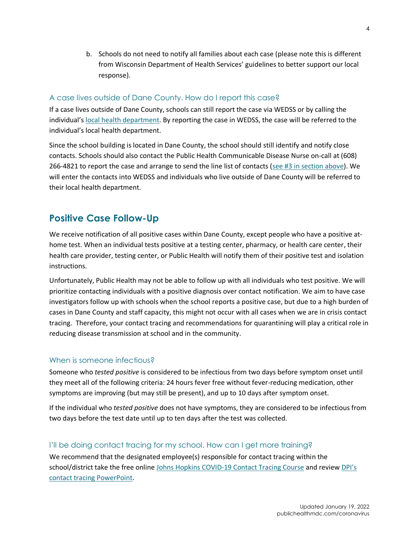b. Schools do not need to notify all families about each case (please note this is different from Wisconsin Department of Health Services' guidelines to better support our local response).

#### A case lives outside of Dane County. How do I report this case?

If a case lives outside of Dane County, schools can still report the case via WEDSS or by calling the individual's [local health department.](https://www.dhs.wisconsin.gov/lh-depts/counties.htm) By reporting the case in WEDSS, the case will be referred to the individual's local health department.

Since the school building is located in Dane County, the school should still identify and notify close contacts. Schools should also contact the Public Health Communicable Disease Nurse on-call at (608) 266-4821 to report the case and arrange to send the line list of contacts [\(see #3 in section above\)](#page-1-3). We will enter the contacts into WEDSS and individuals who live outside of Dane County will be referred to their local health department.

### <span id="page-3-0"></span>**Positive Case Follow-Up**

We receive notification of all positive cases within Dane County, except people who have a positive athome test. When an individual tests positive at a testing center, pharmacy, or health care center, their health care provider, testing center, or Public Health will notify them of their positive test and isolation instructions.

Unfortunately, Public Health may not be able to follow up with all individuals who test positive. We will prioritize contacting individuals with a positive diagnosis over contact notification. We aim to have case investigators follow up with schools when the school reports a positive case, but due to a high burden of cases in Dane County and staff capacity, this might not occur with all cases when we are in crisis contact tracing. Therefore, your contact tracing and recommendations for quarantining will play a critical role in reducing disease transmission at school and in the community.

#### When is someone infectious?

Someone who *tested positive* is considered to be infectious from two days before symptom onset until they meet all of the following criteria: 24 hours fever free without fever-reducing medication, other symptoms are improving (but may still be present), and up to 10 days after symptom onset.

If the individual who *tested positive* does not have symptoms, they are considered to be infectious from two days before the test date until up to ten days after the test was collected.

#### I'll be doing contact tracing for my school. How can I get more training?

We recommend that the designated employee(s) responsible for contact tracing within the school/district take the free online [Johns Hopkins COVID-19 Contact Tracing Course](https://www.coursera.org/learn/covid-19-contact-tracing) and review DPI's [contact tracing PowerPoint.](https://dpi.wi.gov/sites/default/files/imce/sspw/ppt/Contact_Tracing_Training_for_Schools.pptx)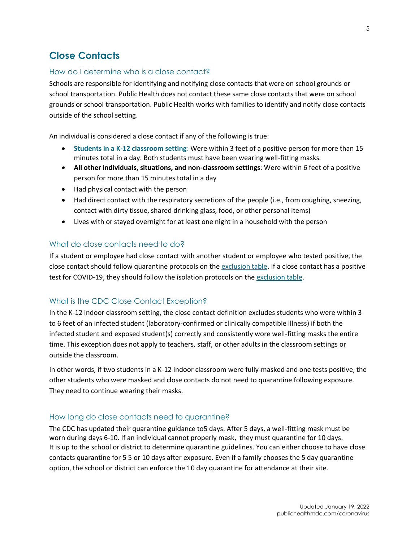# <span id="page-4-0"></span>**Close Contacts**

#### How do I determine who is a close contact?

Schools are responsible for identifying and notifying close contacts that were on school grounds or school transportation. Public Health does not contact these same close contacts that were on school grounds or school transportation. Public Health works with families to identify and notify close contacts outside of the school setting.

An individual is considered a close contact if any of the following is true:

- **[Students in a K-12 classroom setting](https://www.cdc.gov/coronavirus/2019-ncov/php/contact-tracing/contact-tracing-plan/appendix.html#contact)**: Were within 3 feet of a positive person for more than 15 minutes total in a day. Both students must have been wearing well-fitting masks.
- **All other individuals, situations, and non-classroom settings**: Were within 6 feet of a positive person for more than 15 minutes total in a day
- Had physical contact with the person
- Had direct contact with the respiratory secretions of the people (i.e., from coughing, sneezing, contact with dirty tissue, shared drinking glass, food, or other personal items)
- Lives with or stayed overnight for at least one night in a household with the person

#### What do close contacts need to do?

If a student or employee had close contact with another student or employee who tested positive, the close contact should follow quarantine protocols on the [exclusion table.](https://www.publichealthmdc.com/documents/exclusion_table.pdf) If a close contact has a positive test for COVID-19, they should follow the isolation protocols on the [exclusion table.](https://www.publichealthmdc.com/documents/exclusion_table.pdf)

#### What is the CDC Close Contact Exception?

In the K-12 indoor classroom setting, the close contact definition excludes students who were within 3 to 6 feet of an infected student (laboratory-confirmed or clinically compatible illness) if both the infected student and exposed student(s) correctly and consistently wore well-fitting masks the entire time. This exception does not apply to teachers, staff, or other adults in the classroom settings or outside the classroom.

In other words, if two students in a K-12 indoor classroom were fully-masked and one tests positive, the other students who were masked and close contacts do not need to quarantine following exposure. They need to continue wearing their masks.

#### How long do close contacts need to quarantine?

The CDC has updated their quarantine guidance to5 days. After 5 days, a well-fitting mask must be worn during days 6-10. If an individual cannot properly mask, they must quarantine for 10 days. It is up to the school or district to determine quarantine guidelines. You can either choose to have close contacts quarantine for 5 5 or 10 days after exposure. Even if a family chooses the 5 day quarantine option, the school or district can enforce the 10 day quarantine for attendance at their site.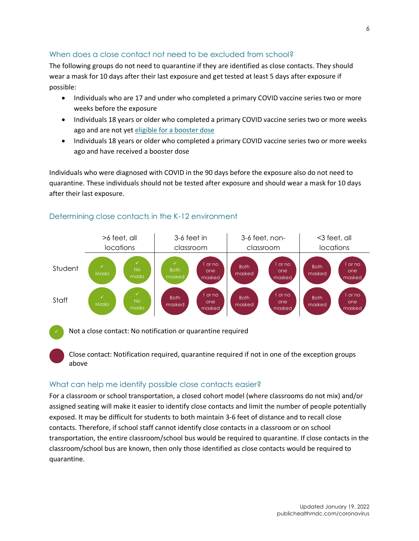#### When does a close contact *not* need to be excluded from school?

The following groups do not need to quarantine if they are identified as close contacts. They should wear a mask for 10 days after their last exposure and get tested at least 5 days after exposure if possible:

- Individuals who are 17 and under who completed a primary COVID vaccine series two or more weeks before the exposure
- Individuals 18 years or older who completed a primary COVID vaccine series two or more weeks ago and are not yet [eligible for a booster dose](https://www.cdc.gov/coronavirus/2019-ncov/vaccines/booster-shot.html)
- Individuals 18 years or older who completed a primary COVID vaccine series two or more weeks ago and have received a booster dose

Individuals who were diagnosed with COVID in the 90 days before the exposure also do not need to quarantine. These individuals should not be tested after exposure and should wear a mask for 10 days after their last exposure.



#### Determining close contacts in the K-12 environment

Not a close contact: No notification or quarantine required

Close contact: Notification required, quarantine required if not in one of the exception groups above

#### What can help me identify possible close contacts easier?

For a classroom or school transportation, a closed cohort model (where classrooms do not mix) and/or assigned seating will make it easier to identify close contacts and limit the number of people potentially exposed. It may be difficult for students to both maintain 3-6 feet of distance and to recall close contacts. Therefore, if school staff cannot identify close contacts in a classroom or on school transportation, the entire classroom/school bus would be required to quarantine. If close contacts in the classroom/school bus are known, then only those identified as close contacts would be required to quarantine.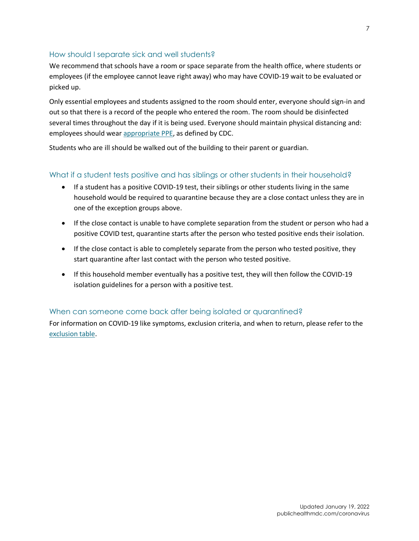#### How should I separate sick and well students?

We recommend that schools have a room or space separate from the health office, where students or employees (if the employee cannot leave right away) who may have COVID-19 wait to be evaluated or picked up.

Only essential employees and students assigned to the room should enter, everyone should sign-in and out so that there is a record of the people who entered the room. The room should be disinfected several times throughout the day if it is being used. Everyone should maintain physical distancing and: employees should wea[r appropriate PPE,](https://www.cdc.gov/coronavirus/2019-ncov/community/schools-childcare/k-12-staff.html#:~:text=%E2%80%A2%20Provide%20appropriate%20PPE%2C,necessary%20in%20school%20clinics.) as defined by CDC.

Students who are ill should be walked out of the building to their parent or guardian.

#### What if a student tests positive and has siblings or other students in their household?

- If a student has a positive COVID-19 test, their siblings or other students living in the same household would be required to quarantine because they are a close contact unless they are in one of the exception groups above.
- If the close contact is unable to have complete separation from the student or person who had a positive COVID test, quarantine starts after the person who tested positive ends their isolation.
- If the close contact is able to completely separate from the person who tested positive, they start quarantine after last contact with the person who tested positive.
- If this household member eventually has a positive test, they will then follow the COVID-19 isolation guidelines for a person with a positive test.

#### When can someone come back after being isolated or quarantined?

<span id="page-6-0"></span>For information on COVID-19 like symptoms, exclusion criteria, and when to return, please refer to the [exclusion table.](https://www.publichealthmdc.com/documents/exclusion_table.pdf)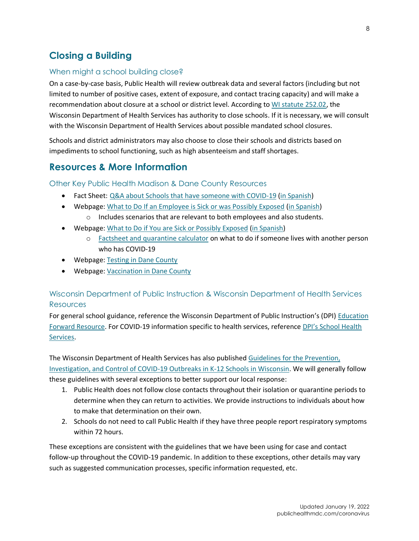# **Closing a Building**

#### When might a school building close?

On a case-by-case basis, Public Health will review outbreak data and several factors (including but not limited to number of positive cases, extent of exposure, and contact tracing capacity) and will make a recommendation about closure at a school or district level. According to [WI statute 252.02,](https://docs.legis.wisconsin.gov/statutes/statutes/252/02/3) the Wisconsin Department of Health Services has authority to close schools. If it is necessary, we will consult with the Wisconsin Department of Health Services about possible mandated school closures.

Schools and district administrators may also choose to close their schools and districts based on impediments to school functioning, such as high absenteeism and staff shortages.

### <span id="page-7-0"></span>**Resources & More Information**

Other Key Public Health Madison & Dane County Resources

- Fact Sheet: [Q&A about Schools that have someone with COVID-19](https://www.publichealthmdc.com/documents/Child%20Care%20Center%20FAQ.pdf) [\(in Spanish\)](https://www.publichealthmdc.com/documents/Child%20Care%20Center%20FAQ_Spanish.pdf)
- Webpage: [What to Do If an Employee is Sick or was Possibly Exposed](https://publichealthmdc.com/coronavirus/what-to-do-if-you-are-sick-or-possibly-exposed/what-to-do-if-an-employee) [\(in Spanish\)](https://publichealthmdc.com/espanol/coronavirus/que-hacer-si-esta-enfermo-o-posiblemente-expuesto/que-hacer-si-su-empleado)
	- o Includes scenarios that are relevant to both employees and also students.
- Webpage: [What to Do if You are Sick or Possibly Exposed](https://publichealthmdc.com/coronavirus/what-to-do-if-you-are-sick-or-possibly-exposed) [\(in Spanish\)](https://publichealthmdc.com/espanol/coronavirus/que-hacer-si-esta-enfermo-o-posiblemente-expuesto)
	- o [Factsheet and quarantine calculator](https://www.publichealthmdc.com/documents/home_quarantine_calc.pdf) on what to do if someone lives with another person who has COVID-19
- Webpage: [Testing in Dane County](https://www.publichealthmdc.com/coronavirus/testing)
- Webpage: [Vaccination in Dane County](https://publichealthmdc.com/coronavirus/covid-19-vaccine)

#### Wisconsin Department of Public Instruction & Wisconsin Department of Health Services **Resources**

For general school guidance, reference the Wisconsin Department of Public Instruction's (DPI) [Education](https://dpi.wi.gov/education-forward)  [Forward Resource.](https://dpi.wi.gov/education-forward) For COVID-19 information specific to health services, reference [DPI's School Health](https://dpi.wi.gov/sspw/2019-novel-coronavirus/school-health-services-information)  [Services.](https://dpi.wi.gov/sspw/2019-novel-coronavirus/school-health-services-information)

The Wisconsin Department of Health Services has also published Guidelines [for the Prevention,](https://www.dhs.wisconsin.gov/publications/p02757.pdf) 

[Investigation, and Control of COVID-19 Outbreaks in K-12 Schools in Wisconsin.](https://www.dhs.wisconsin.gov/publications/p02757.pdf) We will generally follow these guidelines with several exceptions to better support our local response:

- 1. Public Health does not follow close contacts throughout their isolation or quarantine periods to determine when they can return to activities. We provide instructions to individuals about how to make that determination on their own.
- 2. Schools do not need to call Public Health if they have three people report respiratory symptoms within 72 hours.

These exceptions are consistent with the guidelines that we have been using for case and contact follow-up throughout the COVID-19 pandemic. In addition to these exceptions, other details may vary such as suggested communication processes, specific information requested, etc.